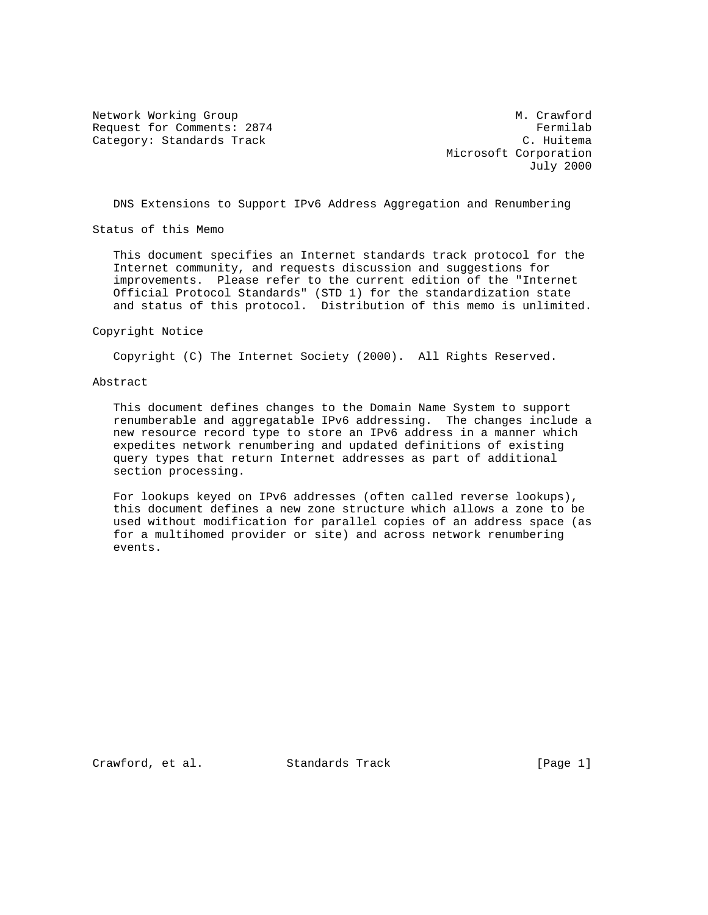Network Working Group Metwork More of the Music Crawford Request for Comments: 2874 Fermilab<br>Category: Standards Track Fermilab Category: Standards Track

 Microsoft Corporation July 2000

DNS Extensions to Support IPv6 Address Aggregation and Renumbering

Status of this Memo

 This document specifies an Internet standards track protocol for the Internet community, and requests discussion and suggestions for improvements. Please refer to the current edition of the "Internet Official Protocol Standards" (STD 1) for the standardization state and status of this protocol. Distribution of this memo is unlimited.

Copyright Notice

Copyright (C) The Internet Society (2000). All Rights Reserved.

## Abstract

 This document defines changes to the Domain Name System to support renumberable and aggregatable IPv6 addressing. The changes include a new resource record type to store an IPv6 address in a manner which expedites network renumbering and updated definitions of existing query types that return Internet addresses as part of additional section processing.

 For lookups keyed on IPv6 addresses (often called reverse lookups), this document defines a new zone structure which allows a zone to be used without modification for parallel copies of an address space (as for a multihomed provider or site) and across network renumbering events.

Crawford, et al. Standards Track [Page 1]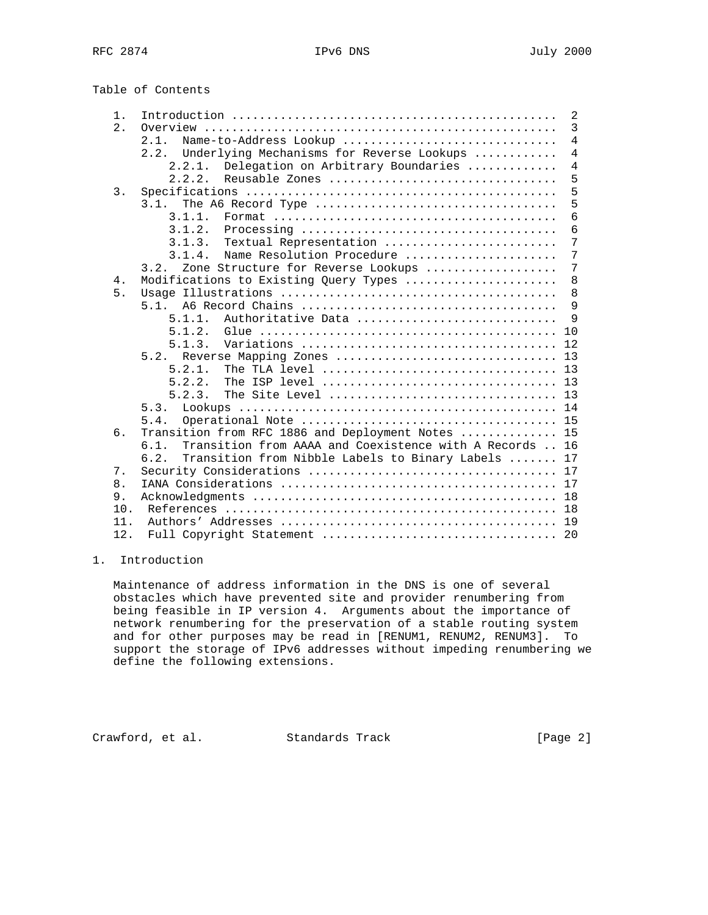Table of Contents

| $1$ .            |                                                                                             | 2              |
|------------------|---------------------------------------------------------------------------------------------|----------------|
| 2.1              | Overview                                                                                    | $\overline{3}$ |
|                  | Name-to-Address Lookup<br>2.1.                                                              | $\overline{4}$ |
|                  | Underlying Mechanisms for Reverse Lookups<br>2.2.                                           | $\overline{4}$ |
|                  | Delegation on Arbitrary Boundaries<br>2.2.1.                                                | 4              |
|                  | 2.2.2.<br>Reusable Zones                                                                    | 5              |
| $\overline{3}$ . |                                                                                             | 5              |
|                  | 3.1.                                                                                        | 5              |
|                  | 3.1.1.                                                                                      | 6              |
|                  | 3.1.2.                                                                                      | 6              |
|                  | Textual Representation<br>3.1.3.                                                            | $\overline{7}$ |
|                  | Name Resolution Procedure<br>3.1.4.                                                         | 7              |
|                  | 3.2.                                                                                        | 7              |
|                  | Zone Structure for Reverse Lookups                                                          |                |
| 4.               | Modifications to Existing Query Types                                                       | 8              |
| 5.               |                                                                                             | 8              |
|                  | 5.1.                                                                                        | 9              |
|                  | 5.1.1.<br>Authoritative Data                                                                | 9              |
|                  | 5.1.2.<br>Glue $\ldots \ldots \ldots \ldots \ldots \ldots \ldots \ldots \ldots \ldots$      | 10             |
|                  | 5.1.3.                                                                                      | 12             |
|                  | 5.2.<br>Reverse Mapping Zones                                                               | 13             |
|                  | 5.2.1.<br>The TLA level $\dots\dots\dots\dots\dots\dots\dots\dots\dots\dots\dots\dots\dots$ | 13             |
|                  | 5.2.2.<br>The ISP level $\dots\dots\dots\dots\dots\dots\dots\dots\dots\dots\dots\dots\dots$ | 13             |
|                  | 5.2.3.<br>The Site Level                                                                    | 13             |
|                  | 5.3.                                                                                        | 14             |
|                  | 5.4.                                                                                        | 15             |
| б.               | Transition from RFC 1886 and Deployment Notes                                               | 15             |
|                  | 6.1.<br>Transition from AAAA and Coexistence with A Records                                 | 16             |
|                  | Transition from Nibble Labels to Binary Labels<br>6.2.                                      | 17             |
| 7.               |                                                                                             | 17             |
| 8.               |                                                                                             | 17             |
|                  |                                                                                             |                |
| 9.               |                                                                                             | 18             |
| 10.              |                                                                                             | 18             |
| 11.              |                                                                                             | 19             |
| 12.              |                                                                                             |                |
|                  |                                                                                             |                |

# 1. Introduction

 Maintenance of address information in the DNS is one of several obstacles which have prevented site and provider renumbering from being feasible in IP version 4. Arguments about the importance of network renumbering for the preservation of a stable routing system and for other purposes may be read in [RENUM1, RENUM2, RENUM3]. To support the storage of IPv6 addresses without impeding renumbering we define the following extensions.

Crawford, et al. Standards Track [Page 2]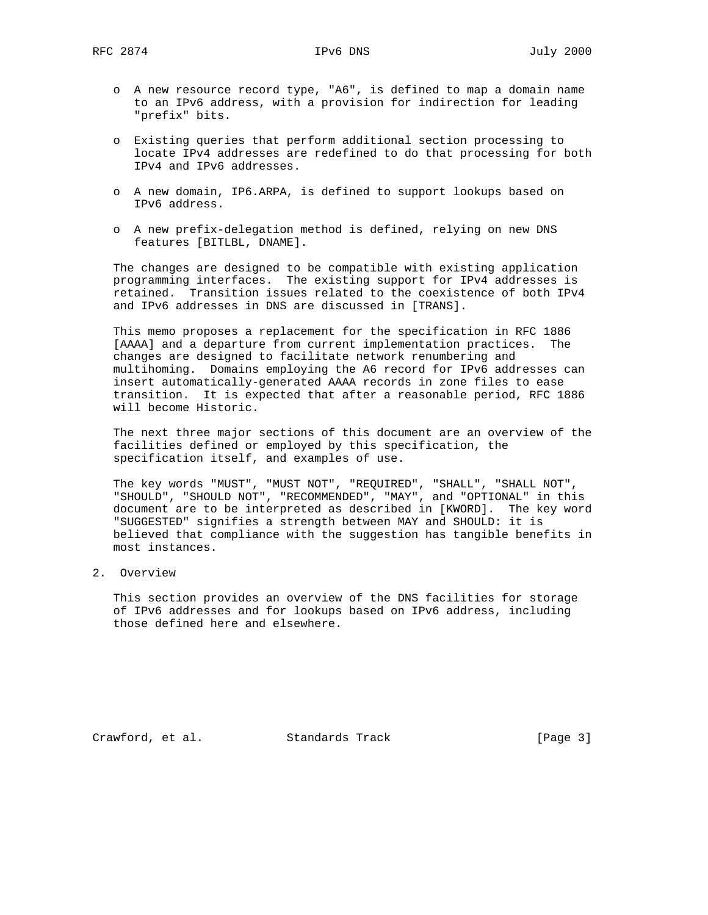- o A new resource record type, "A6", is defined to map a domain name to an IPv6 address, with a provision for indirection for leading "prefix" bits.
- o Existing queries that perform additional section processing to locate IPv4 addresses are redefined to do that processing for both IPv4 and IPv6 addresses.
- o A new domain, IP6.ARPA, is defined to support lookups based on IPv6 address.
- o A new prefix-delegation method is defined, relying on new DNS features [BITLBL, DNAME].

 The changes are designed to be compatible with existing application programming interfaces. The existing support for IPv4 addresses is retained. Transition issues related to the coexistence of both IPv4 and IPv6 addresses in DNS are discussed in [TRANS].

 This memo proposes a replacement for the specification in RFC 1886 [AAAA] and a departure from current implementation practices. The changes are designed to facilitate network renumbering and multihoming. Domains employing the A6 record for IPv6 addresses can insert automatically-generated AAAA records in zone files to ease transition. It is expected that after a reasonable period, RFC 1886 will become Historic.

 The next three major sections of this document are an overview of the facilities defined or employed by this specification, the specification itself, and examples of use.

 The key words "MUST", "MUST NOT", "REQUIRED", "SHALL", "SHALL NOT", "SHOULD", "SHOULD NOT", "RECOMMENDED", "MAY", and "OPTIONAL" in this document are to be interpreted as described in [KWORD]. The key word "SUGGESTED" signifies a strength between MAY and SHOULD: it is believed that compliance with the suggestion has tangible benefits in most instances.

2. Overview

 This section provides an overview of the DNS facilities for storage of IPv6 addresses and for lookups based on IPv6 address, including those defined here and elsewhere.

Crawford, et al. Standards Track [Page 3]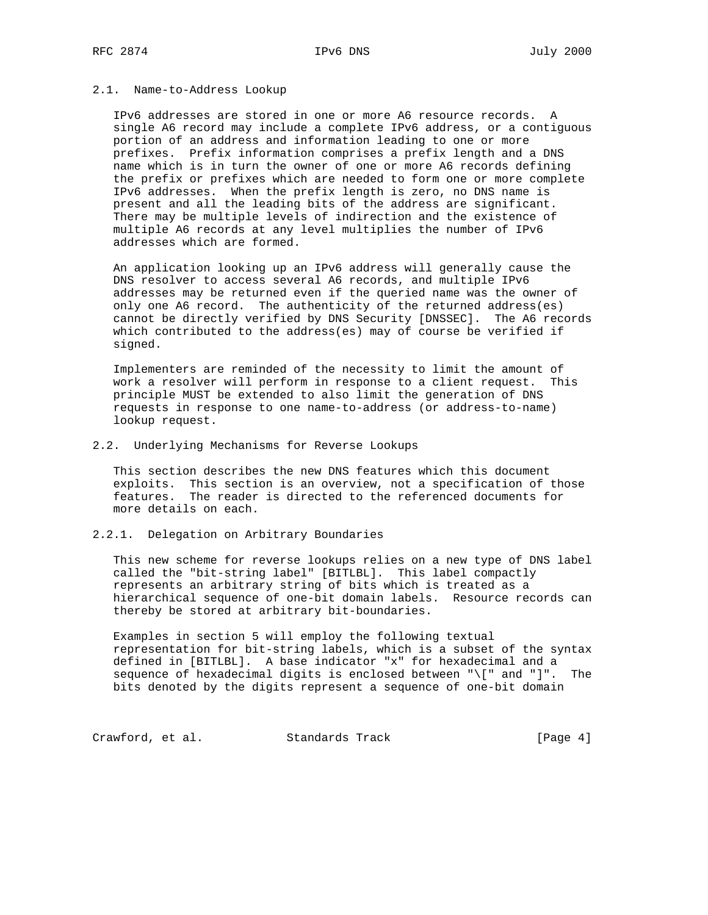## 2.1. Name-to-Address Lookup

 IPv6 addresses are stored in one or more A6 resource records. A single A6 record may include a complete IPv6 address, or a contiguous portion of an address and information leading to one or more prefixes. Prefix information comprises a prefix length and a DNS name which is in turn the owner of one or more A6 records defining the prefix or prefixes which are needed to form one or more complete IPv6 addresses. When the prefix length is zero, no DNS name is present and all the leading bits of the address are significant. There may be multiple levels of indirection and the existence of multiple A6 records at any level multiplies the number of IPv6 addresses which are formed.

 An application looking up an IPv6 address will generally cause the DNS resolver to access several A6 records, and multiple IPv6 addresses may be returned even if the queried name was the owner of only one A6 record. The authenticity of the returned address(es) cannot be directly verified by DNS Security [DNSSEC]. The A6 records which contributed to the address(es) may of course be verified if signed.

 Implementers are reminded of the necessity to limit the amount of work a resolver will perform in response to a client request. This principle MUST be extended to also limit the generation of DNS requests in response to one name-to-address (or address-to-name) lookup request.

### 2.2. Underlying Mechanisms for Reverse Lookups

 This section describes the new DNS features which this document exploits. This section is an overview, not a specification of those features. The reader is directed to the referenced documents for more details on each.

# 2.2.1. Delegation on Arbitrary Boundaries

 This new scheme for reverse lookups relies on a new type of DNS label called the "bit-string label" [BITLBL]. This label compactly represents an arbitrary string of bits which is treated as a hierarchical sequence of one-bit domain labels. Resource records can thereby be stored at arbitrary bit-boundaries.

 Examples in section 5 will employ the following textual representation for bit-string labels, which is a subset of the syntax defined in [BITLBL]. A base indicator "x" for hexadecimal and a sequence of hexadecimal digits is enclosed between "\[" and "]". The bits denoted by the digits represent a sequence of one-bit domain

Crawford, et al. Standards Track [Page 4]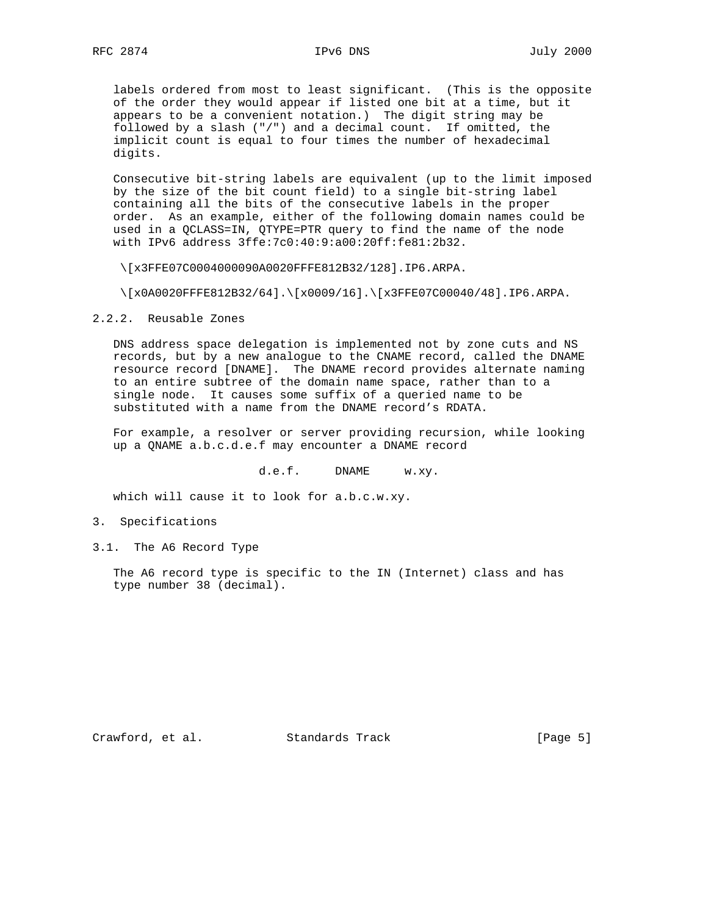labels ordered from most to least significant. (This is the opposite of the order they would appear if listed one bit at a time, but it appears to be a convenient notation.) The digit string may be followed by a slash ("/") and a decimal count. If omitted, the implicit count is equal to four times the number of hexadecimal digits.

 Consecutive bit-string labels are equivalent (up to the limit imposed by the size of the bit count field) to a single bit-string label containing all the bits of the consecutive labels in the proper order. As an example, either of the following domain names could be used in a QCLASS=IN, QTYPE=PTR query to find the name of the node with IPv6 address 3ffe:7c0:40:9:a00:20ff:fe81:2b32.

\[x3FFE07C0004000090A0020FFFE812B32/128].IP6.ARPA.

\[x0A0020FFFE812B32/64].\[x0009/16].\[x3FFE07C00040/48].IP6.ARPA.

2.2.2. Reusable Zones

 DNS address space delegation is implemented not by zone cuts and NS records, but by a new analogue to the CNAME record, called the DNAME resource record [DNAME]. The DNAME record provides alternate naming to an entire subtree of the domain name space, rather than to a single node. It causes some suffix of a queried name to be substituted with a name from the DNAME record's RDATA.

 For example, a resolver or server providing recursion, while looking up a QNAME a.b.c.d.e.f may encounter a DNAME record

d.e.f. DNAME w.xy.

which will cause it to look for a.b.c.w.xy.

- 3. Specifications
- 3.1. The A6 Record Type

 The A6 record type is specific to the IN (Internet) class and has type number 38 (decimal).

Crawford, et al. Standards Track [Page 5]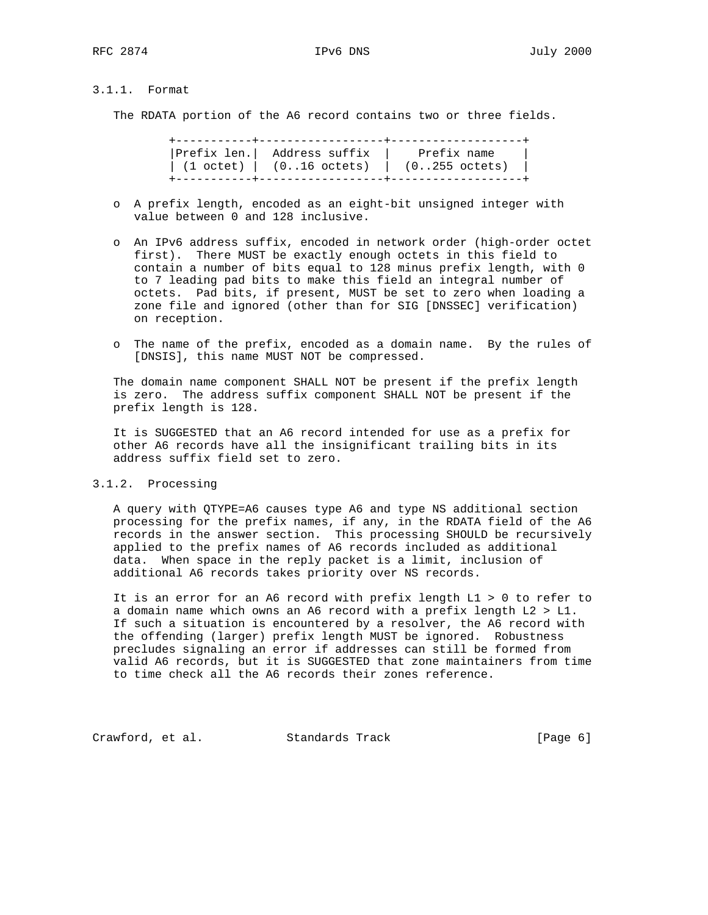# 3.1.1. Format

The RDATA portion of the A6 record contains two or three fields.

|                                                                        | Prefix len.   Address suffix        Prefix name |
|------------------------------------------------------------------------|-------------------------------------------------|
| $(1 \text{ octet})$   $(016 \text{ octets})$   $(0255 \text{ octets})$ |                                                 |
|                                                                        |                                                 |

- o A prefix length, encoded as an eight-bit unsigned integer with value between 0 and 128 inclusive.
- o An IPv6 address suffix, encoded in network order (high-order octet first). There MUST be exactly enough octets in this field to contain a number of bits equal to 128 minus prefix length, with 0 to 7 leading pad bits to make this field an integral number of octets. Pad bits, if present, MUST be set to zero when loading a zone file and ignored (other than for SIG [DNSSEC] verification) on reception.
- o The name of the prefix, encoded as a domain name. By the rules of [DNSIS], this name MUST NOT be compressed.

 The domain name component SHALL NOT be present if the prefix length is zero. The address suffix component SHALL NOT be present if the prefix length is 128.

 It is SUGGESTED that an A6 record intended for use as a prefix for other A6 records have all the insignificant trailing bits in its address suffix field set to zero.

3.1.2. Processing

 A query with QTYPE=A6 causes type A6 and type NS additional section processing for the prefix names, if any, in the RDATA field of the A6 records in the answer section. This processing SHOULD be recursively applied to the prefix names of A6 records included as additional data. When space in the reply packet is a limit, inclusion of additional A6 records takes priority over NS records.

 It is an error for an A6 record with prefix length L1 > 0 to refer to a domain name which owns an A6 record with a prefix length L2 > L1. If such a situation is encountered by a resolver, the A6 record with the offending (larger) prefix length MUST be ignored. Robustness precludes signaling an error if addresses can still be formed from valid A6 records, but it is SUGGESTED that zone maintainers from time to time check all the A6 records their zones reference.

Crawford, et al. Standards Track [Page 6]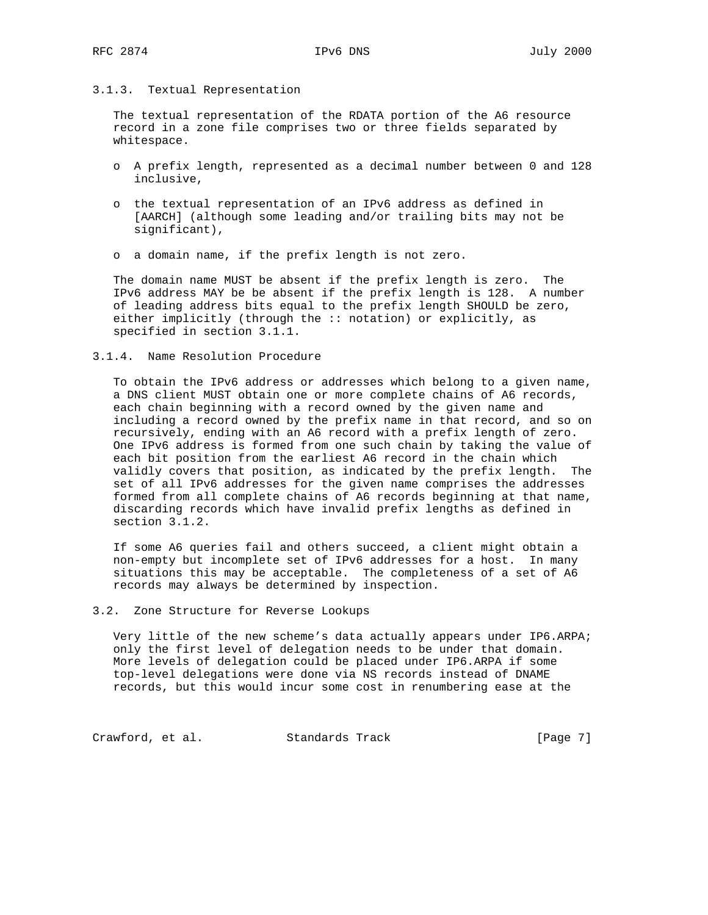## 3.1.3. Textual Representation

 The textual representation of the RDATA portion of the A6 resource record in a zone file comprises two or three fields separated by whitespace.

- o A prefix length, represented as a decimal number between 0 and 128 inclusive,
- o the textual representation of an IPv6 address as defined in [AARCH] (although some leading and/or trailing bits may not be significant),
- o a domain name, if the prefix length is not zero.

 The domain name MUST be absent if the prefix length is zero. The IPv6 address MAY be be absent if the prefix length is 128. A number of leading address bits equal to the prefix length SHOULD be zero, either implicitly (through the :: notation) or explicitly, as specified in section 3.1.1.

### 3.1.4. Name Resolution Procedure

 To obtain the IPv6 address or addresses which belong to a given name, a DNS client MUST obtain one or more complete chains of A6 records, each chain beginning with a record owned by the given name and including a record owned by the prefix name in that record, and so on recursively, ending with an A6 record with a prefix length of zero. One IPv6 address is formed from one such chain by taking the value of each bit position from the earliest A6 record in the chain which validly covers that position, as indicated by the prefix length. The set of all IPv6 addresses for the given name comprises the addresses formed from all complete chains of A6 records beginning at that name, discarding records which have invalid prefix lengths as defined in section 3.1.2.

 If some A6 queries fail and others succeed, a client might obtain a non-empty but incomplete set of IPv6 addresses for a host. In many situations this may be acceptable. The completeness of a set of A6 records may always be determined by inspection.

3.2. Zone Structure for Reverse Lookups

 Very little of the new scheme's data actually appears under IP6.ARPA; only the first level of delegation needs to be under that domain. More levels of delegation could be placed under IP6.ARPA if some top-level delegations were done via NS records instead of DNAME records, but this would incur some cost in renumbering ease at the

Crawford, et al. Standards Track [Page 7]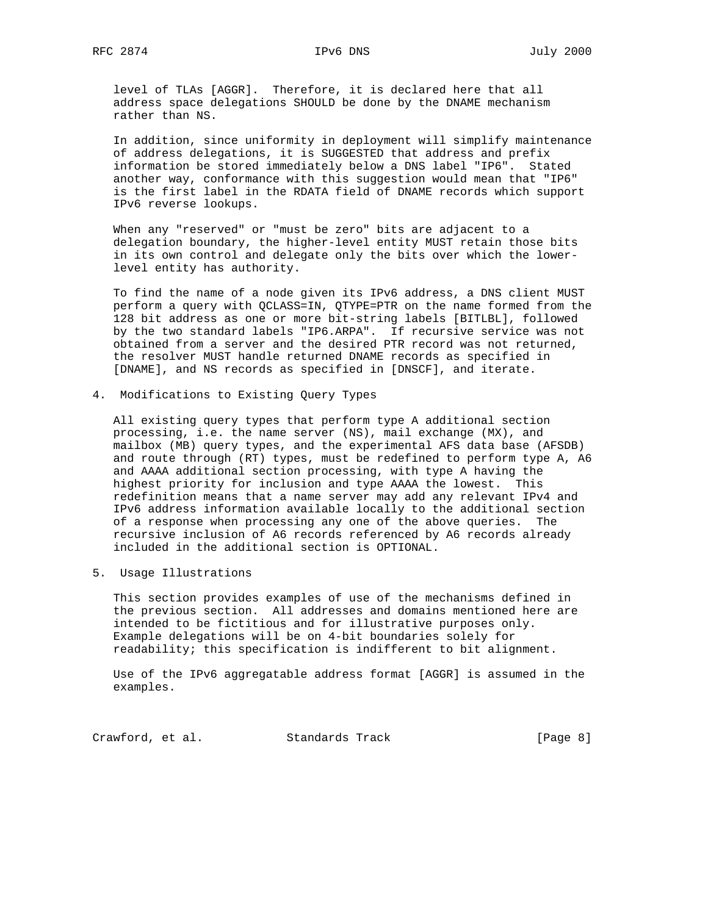level of TLAs [AGGR]. Therefore, it is declared here that all address space delegations SHOULD be done by the DNAME mechanism rather than NS.

 In addition, since uniformity in deployment will simplify maintenance of address delegations, it is SUGGESTED that address and prefix information be stored immediately below a DNS label "IP6". Stated another way, conformance with this suggestion would mean that "IP6" is the first label in the RDATA field of DNAME records which support IPv6 reverse lookups.

 When any "reserved" or "must be zero" bits are adjacent to a delegation boundary, the higher-level entity MUST retain those bits in its own control and delegate only the bits over which the lower level entity has authority.

 To find the name of a node given its IPv6 address, a DNS client MUST perform a query with QCLASS=IN, QTYPE=PTR on the name formed from the 128 bit address as one or more bit-string labels [BITLBL], followed by the two standard labels "IP6.ARPA". If recursive service was not obtained from a server and the desired PTR record was not returned, the resolver MUST handle returned DNAME records as specified in [DNAME], and NS records as specified in [DNSCF], and iterate.

## 4. Modifications to Existing Query Types

 All existing query types that perform type A additional section processing, i.e. the name server (NS), mail exchange (MX), and mailbox (MB) query types, and the experimental AFS data base (AFSDB) and route through (RT) types, must be redefined to perform type A, A6 and AAAA additional section processing, with type A having the highest priority for inclusion and type AAAA the lowest. This redefinition means that a name server may add any relevant IPv4 and IPv6 address information available locally to the additional section of a response when processing any one of the above queries. The recursive inclusion of A6 records referenced by A6 records already included in the additional section is OPTIONAL.

5. Usage Illustrations

 This section provides examples of use of the mechanisms defined in the previous section. All addresses and domains mentioned here are intended to be fictitious and for illustrative purposes only. Example delegations will be on 4-bit boundaries solely for readability; this specification is indifferent to bit alignment.

 Use of the IPv6 aggregatable address format [AGGR] is assumed in the examples.

Crawford, et al. Standards Track [Page 8]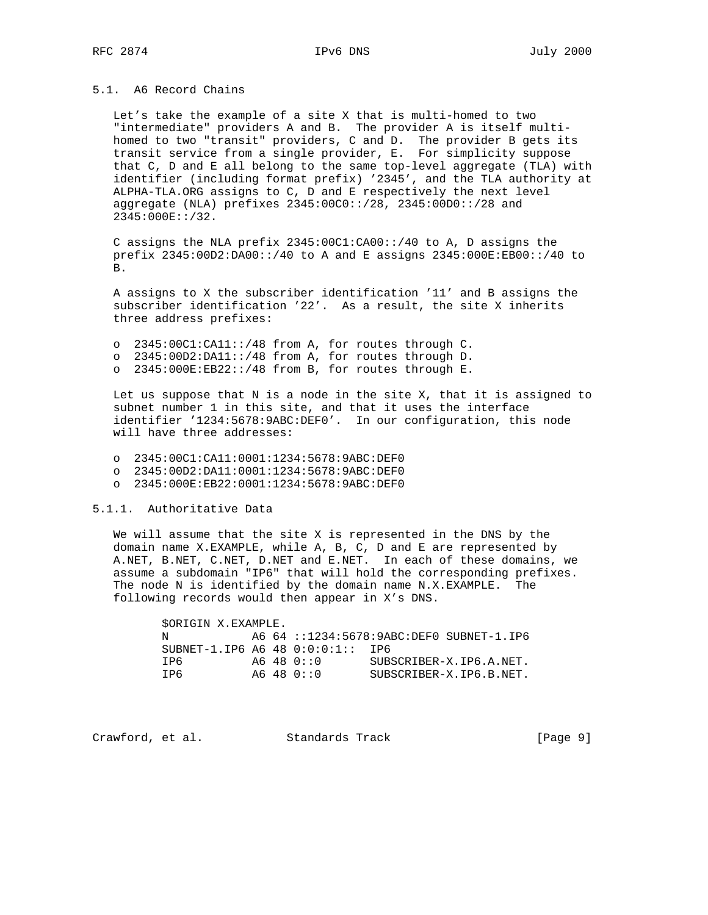## 5.1. A6 Record Chains

 Let's take the example of a site X that is multi-homed to two "intermediate" providers A and B. The provider A is itself multi homed to two "transit" providers, C and D. The provider B gets its transit service from a single provider, E. For simplicity suppose that C, D and E all belong to the same top-level aggregate (TLA) with identifier (including format prefix) '2345', and the TLA authority at ALPHA-TLA.ORG assigns to C, D and E respectively the next level aggregate (NLA) prefixes 2345:00C0::/28, 2345:00D0::/28 and 2345:000E::/32.

 C assigns the NLA prefix 2345:00C1:CA00::/40 to A, D assigns the prefix 2345:00D2:DA00::/40 to A and E assigns 2345:000E:EB00::/40 to B.

 A assigns to X the subscriber identification '11' and B assigns the subscriber identification '22'. As a result, the site X inherits three address prefixes:

- o 2345:00C1:CA11::/48 from A, for routes through C.
- o 2345:00D2:DA11::/48 from A, for routes through D.
- o 2345:000E:EB22::/48 from B, for routes through E.

 Let us suppose that N is a node in the site X, that it is assigned to subnet number 1 in this site, and that it uses the interface identifier '1234:5678:9ABC:DEF0'. In our configuration, this node will have three addresses:

- o 2345:00C1:CA11:0001:1234:5678:9ABC:DEF0
- o 2345:00D2:DA11:0001:1234:5678:9ABC:DEF0
- o 2345:000E:EB22:0001:1234:5678:9ABC:DEF0

5.1.1. Authoritative Data

 We will assume that the site X is represented in the DNS by the domain name X.EXAMPLE, while A, B, C, D and E are represented by A.NET, B.NET, C.NET, D.NET and E.NET. In each of these domains, we assume a subdomain "IP6" that will hold the corresponding prefixes. The node N is identified by the domain name N.X.EXAMPLE. The following records would then appear in X's DNS.

| SORIGIN X.EXAMPLE.                 |  |            |                                          |
|------------------------------------|--|------------|------------------------------------------|
| N                                  |  |            | A6 64 ::1234:5678:9ABC:DEF0 SUBNET-1.IP6 |
| SUBNET-1.IP6 A6 48 $0:0:0:1:1$ IP6 |  |            |                                          |
| T P 6                              |  | A6 48 0::0 | SUBSCRIBER-X.IP6.A.NET.                  |
| TP6                                |  | A6 48 0::0 | SUBSCRIBER-X.IP6.B.NET.                  |

Crawford, et al. Standards Track [Page 9]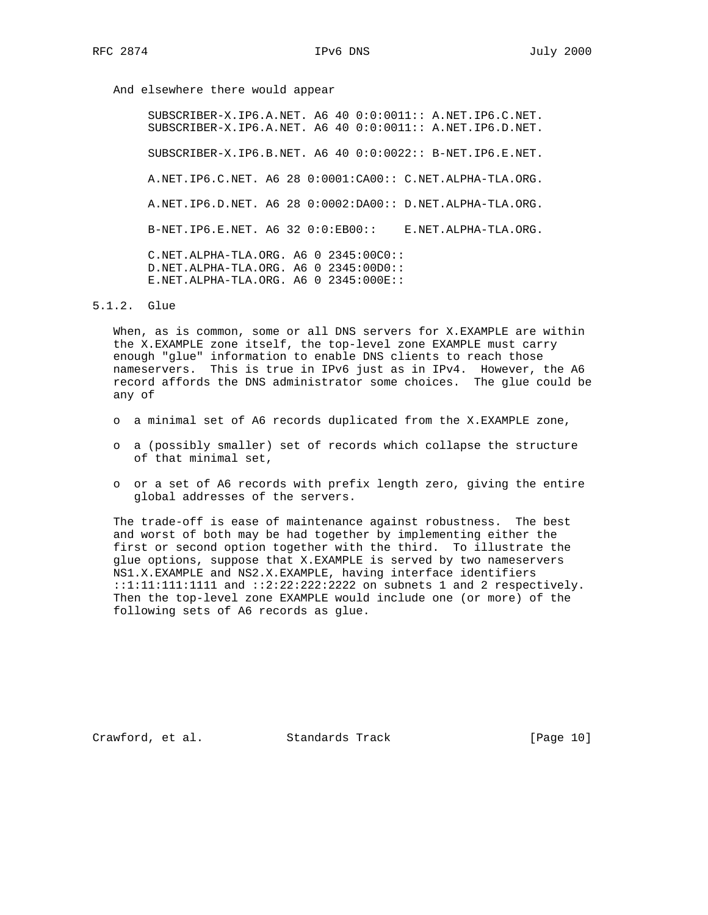And elsewhere there would appear

 SUBSCRIBER-X.IP6.A.NET. A6 40 0:0:0011:: A.NET.IP6.C.NET. SUBSCRIBER-X.IP6.A.NET. A6 40 0:0:0011:: A.NET.IP6.D.NET. SUBSCRIBER-X.IP6.B.NET. A6 40 0:0:0022:: B-NET.IP6.E.NET. A.NET.IP6.C.NET. A6 28 0:0001:CA00:: C.NET.ALPHA-TLA.ORG. A.NET.IP6.D.NET. A6 28 0:0002:DA00:: D.NET.ALPHA-TLA.ORG. B-NET.IP6.E.NET. A6 32 0:0:EB00:: E.NET.ALPHA-TLA.ORG. C.NET.ALPHA-TLA.ORG. A6 0 2345:00C0:: D.NET.ALPHA-TLA.ORG. A6 0 2345:00D0:: E.NET.ALPHA-TLA.ORG. A6 0 2345:000E::

#### 5.1.2. Glue

 When, as is common, some or all DNS servers for X.EXAMPLE are within the X.EXAMPLE zone itself, the top-level zone EXAMPLE must carry enough "glue" information to enable DNS clients to reach those nameservers. This is true in IPv6 just as in IPv4. However, the A6 record affords the DNS administrator some choices. The glue could be any of

- o a minimal set of A6 records duplicated from the X.EXAMPLE zone,
- o a (possibly smaller) set of records which collapse the structure of that minimal set,
- o or a set of A6 records with prefix length zero, giving the entire global addresses of the servers.

 The trade-off is ease of maintenance against robustness. The best and worst of both may be had together by implementing either the first or second option together with the third. To illustrate the glue options, suppose that X.EXAMPLE is served by two nameservers NS1.X.EXAMPLE and NS2.X.EXAMPLE, having interface identifiers ::1:11:111:1111 and ::2:22:222:2222 on subnets 1 and 2 respectively. Then the top-level zone EXAMPLE would include one (or more) of the following sets of A6 records as glue.

Crawford, et al. Standards Track [Page 10]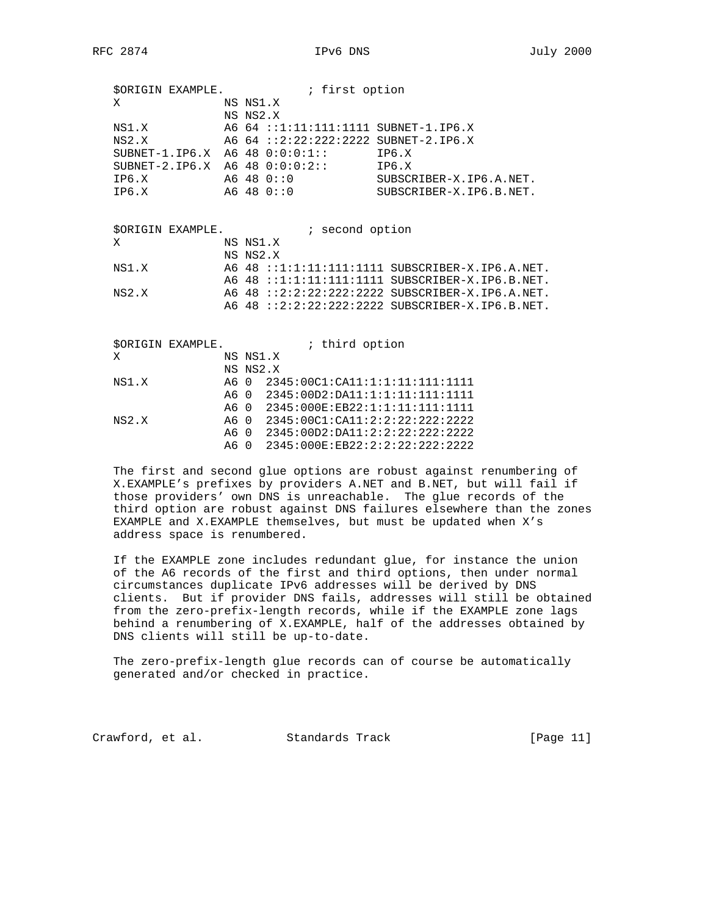|   | SORIGIN EXAMPLE.                 | ; first option |                                      |                         |  |  |  |  |
|---|----------------------------------|----------------|--------------------------------------|-------------------------|--|--|--|--|
| Х |                                  | NS NS1.X       |                                      |                         |  |  |  |  |
|   |                                  | NS NS2.X       |                                      |                         |  |  |  |  |
|   | NS1.X                            |                | A6 64 ::1:11:111:1111 SUBNET-1.IP6.X |                         |  |  |  |  |
|   | NS2.X                            |                | A6 64 ::2:22:222:2222 SUBNET-2.IP6.X |                         |  |  |  |  |
|   | $SUBNET-1.ID6.X A6 48 0:0:0:1::$ |                |                                      | TP6.X                   |  |  |  |  |
|   | SUBNET-2.1P6.X A6 48 $0:0:0:2:$  |                |                                      | IP6.X                   |  |  |  |  |
|   | TP6.X                            |                | A6 48 0::0                           | SUBSCRIBER-X.IP6.A.NET. |  |  |  |  |
|   | TP6.X                            |                | A6 48 0::0                           | SUBSCRIBER-X.IP6.B.NET. |  |  |  |  |
|   |                                  |                |                                      |                         |  |  |  |  |
|   |                                  |                |                                      |                         |  |  |  |  |
|   | SORIGIN EXAMPLE.                 |                | ; second option                      |                         |  |  |  |  |

| X     | NS NS1.X |                                                 |
|-------|----------|-------------------------------------------------|
|       | NS NS2.X |                                                 |
| NS1.X |          | A6 48 ::1:1:11:111:1111 SUBSCRIBER-X.IP6.A.NET. |
|       |          | A6 48 ::1:1:11:111:1111 SUBSCRIBER-X.IP6.B.NET. |
| NS2.X |          | A6 48 ::2:2:22:222:2222 SUBSCRIBER-X.IP6.A.NET. |
|       |          | A6 48 ::2:2:22:222:2222 SUBSCRIBER-X.IP6.B.NET. |
|       |          |                                                 |

|       | <b>\$ORIGIN EXAMPLE.</b> |          |  | ; third option                      |  |  |  |
|-------|--------------------------|----------|--|-------------------------------------|--|--|--|
| X     |                          | NS NS1.X |  |                                     |  |  |  |
|       |                          | NS NS2.X |  |                                     |  |  |  |
| NS1.X |                          |          |  | A6 0 2345:00C1:CA11:1:1:11:111:1111 |  |  |  |
|       |                          |          |  | A6 0 2345:00D2:DA11:1:1:11:111:1111 |  |  |  |
|       |                          |          |  | A6 0 2345:000E:EB22:1:1:11:111:1111 |  |  |  |
| NS2.X |                          |          |  | A6 0 2345:00C1:CA11:2:2:22:222:2222 |  |  |  |
|       |                          |          |  | A6 0 2345:00D2:DA11:2:2:22:222:2222 |  |  |  |
|       |                          |          |  | A6 0 2345:000E:EB22:2:2:22:222:2222 |  |  |  |
|       |                          |          |  |                                     |  |  |  |

 The first and second glue options are robust against renumbering of X.EXAMPLE's prefixes by providers A.NET and B.NET, but will fail if those providers' own DNS is unreachable. The glue records of the third option are robust against DNS failures elsewhere than the zones EXAMPLE and X.EXAMPLE themselves, but must be updated when X's address space is renumbered.

 If the EXAMPLE zone includes redundant glue, for instance the union of the A6 records of the first and third options, then under normal circumstances duplicate IPv6 addresses will be derived by DNS clients. But if provider DNS fails, addresses will still be obtained from the zero-prefix-length records, while if the EXAMPLE zone lags behind a renumbering of X.EXAMPLE, half of the addresses obtained by DNS clients will still be up-to-date.

 The zero-prefix-length glue records can of course be automatically generated and/or checked in practice.

Crawford, et al. Standards Track [Page 11]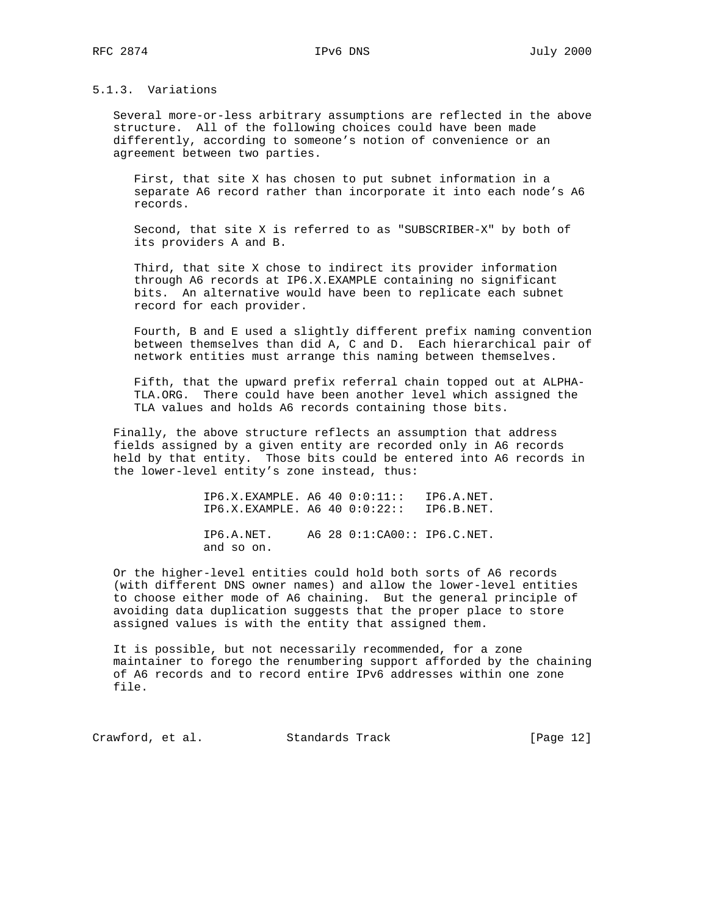# 5.1.3. Variations

 Several more-or-less arbitrary assumptions are reflected in the above structure. All of the following choices could have been made differently, according to someone's notion of convenience or an agreement between two parties.

 First, that site X has chosen to put subnet information in a separate A6 record rather than incorporate it into each node's A6 records.

 Second, that site X is referred to as "SUBSCRIBER-X" by both of its providers A and B.

 Third, that site X chose to indirect its provider information through A6 records at IP6.X.EXAMPLE containing no significant bits. An alternative would have been to replicate each subnet record for each provider.

 Fourth, B and E used a slightly different prefix naming convention between themselves than did A, C and D. Each hierarchical pair of network entities must arrange this naming between themselves.

 Fifth, that the upward prefix referral chain topped out at ALPHA- TLA.ORG. There could have been another level which assigned the TLA values and holds A6 records containing those bits.

 Finally, the above structure reflects an assumption that address fields assigned by a given entity are recorded only in A6 records held by that entity. Those bits could be entered into A6 records in the lower-level entity's zone instead, thus:

> IP6.X.EXAMPLE. A6 40 0:0:11:: IP6.A.NET. IP6.X.EXAMPLE. A6 40 0:0:22:: IP6.B.NET. IP6.A.NET. A6 28 0:1:CA00:: IP6.C.NET. and so on.

 Or the higher-level entities could hold both sorts of A6 records (with different DNS owner names) and allow the lower-level entities to choose either mode of A6 chaining. But the general principle of avoiding data duplication suggests that the proper place to store assigned values is with the entity that assigned them.

 It is possible, but not necessarily recommended, for a zone maintainer to forego the renumbering support afforded by the chaining of A6 records and to record entire IPv6 addresses within one zone file.

Crawford, et al. Standards Track [Page 12]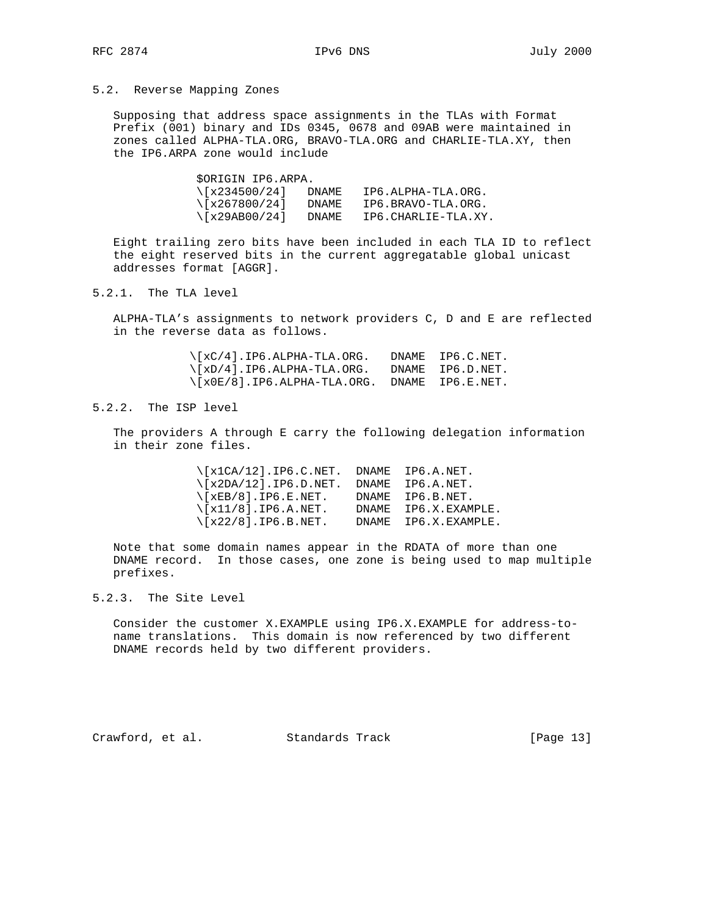## 5.2. Reverse Mapping Zones

 Supposing that address space assignments in the TLAs with Format Prefix (001) binary and IDs 0345, 0678 and 09AB were maintained in zones called ALPHA-TLA.ORG, BRAVO-TLA.ORG and CHARLIE-TLA.XY, then the IP6.ARPA zone would include

> \$ORIGIN IP6.ARPA.  $\left\{ \frac{x234500}{24} \right\}$  DNAME IP6.ALPHA-TLA.ORG.  $\left\{ \frac{x267800}{24} \right\}$  DNAME IP6.BRAVO-TLA.ORG. \[x29AB00/24] DNAME IP6.CHARLIE-TLA.XY.

 Eight trailing zero bits have been included in each TLA ID to reflect the eight reserved bits in the current aggregatable global unicast addresses format [AGGR].

5.2.1. The TLA level

 ALPHA-TLA's assignments to network providers C, D and E are reflected in the reverse data as follows.

> \[xC/4].IP6.ALPHA-TLA.ORG. DNAME IP6.C.NET. \[xD/4].IP6.ALPHA-TLA.ORG. DNAME IP6.D.NET. \[x0E/8].IP6.ALPHA-TLA.ORG. DNAME IP6.E.NET.

## 5.2.2. The ISP level

 The providers A through E carry the following delegation information in their zone files.

 \[x1CA/12].IP6.C.NET. DNAME IP6.A.NET.  $\setminus$ [x2DA/12].IP6.D.NET. DNAME IP6.A.NET.  $\setminus$ [xEB/8].IP6.E.NET. DNAME IP6.B.NET.  $\setminus$ [x11/8].IP6.A.NET. DNAME IP6.X.EXAMPLE.  $\setminus$ [x22/8].IP6.B.NET. DNAME IP6.X.EXAMPLE.

 Note that some domain names appear in the RDATA of more than one DNAME record. In those cases, one zone is being used to map multiple prefixes.

#### 5.2.3. The Site Level

 Consider the customer X.EXAMPLE using IP6.X.EXAMPLE for address-to name translations. This domain is now referenced by two different DNAME records held by two different providers.

Crawford, et al. Standards Track [Page 13]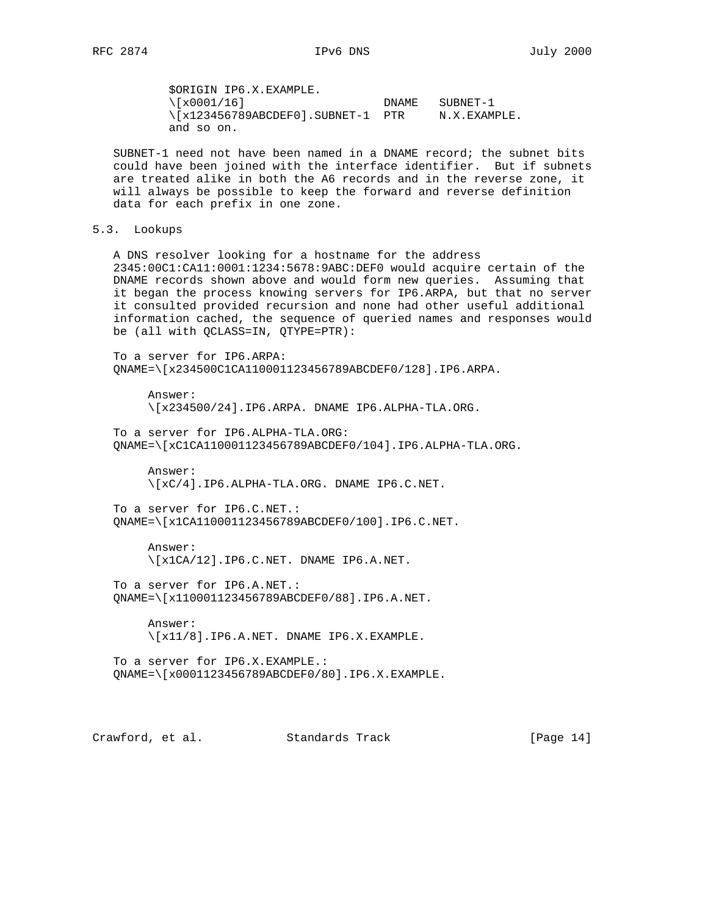\$ORIGIN IP6.X.EXAMPLE.  $\setminus [x0001/16]$  DNAME SUBNET-1 \[x123456789ABCDEF0].SUBNET-1 PTR N.X.EXAMPLE. and so on.

 SUBNET-1 need not have been named in a DNAME record; the subnet bits could have been joined with the interface identifier. But if subnets are treated alike in both the A6 records and in the reverse zone, it will always be possible to keep the forward and reverse definition data for each prefix in one zone.

5.3. Lookups

 A DNS resolver looking for a hostname for the address 2345:00C1:CA11:0001:1234:5678:9ABC:DEF0 would acquire certain of the DNAME records shown above and would form new queries. Assuming that it began the process knowing servers for IP6.ARPA, but that no server it consulted provided recursion and none had other useful additional information cached, the sequence of queried names and responses would be (all with QCLASS=IN, QTYPE=PTR):

 To a server for IP6.ARPA: QNAME=\[x234500C1CA110001123456789ABCDEF0/128].IP6.ARPA.

 Answer: \[x234500/24].IP6.ARPA. DNAME IP6.ALPHA-TLA.ORG.

 To a server for IP6.ALPHA-TLA.ORG: QNAME=\[xC1CA110001123456789ABCDEF0/104].IP6.ALPHA-TLA.ORG.

 Answer: \[xC/4].IP6.ALPHA-TLA.ORG. DNAME IP6.C.NET.

 To a server for IP6.C.NET.: QNAME=\[x1CA110001123456789ABCDEF0/100].IP6.C.NET.

 Answer: \[x1CA/12].IP6.C.NET. DNAME IP6.A.NET.

 To a server for IP6.A.NET.: QNAME=\[x110001123456789ABCDEF0/88].IP6.A.NET.

 Answer: \[x11/8].IP6.A.NET. DNAME IP6.X.EXAMPLE.

 To a server for IP6.X.EXAMPLE.: QNAME=\[x0001123456789ABCDEF0/80].IP6.X.EXAMPLE.

Crawford, et al. Standards Track [Page 14]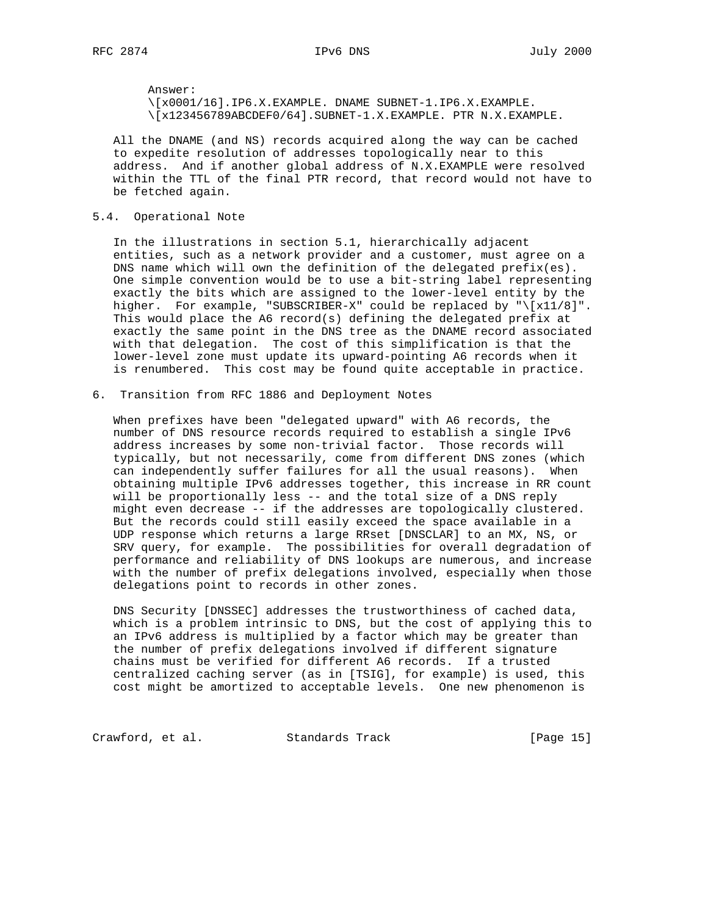Answer:

 \[x0001/16].IP6.X.EXAMPLE. DNAME SUBNET-1.IP6.X.EXAMPLE. \[x123456789ABCDEF0/64].SUBNET-1.X.EXAMPLE. PTR N.X.EXAMPLE.

 All the DNAME (and NS) records acquired along the way can be cached to expedite resolution of addresses topologically near to this address. And if another global address of N.X.EXAMPLE were resolved within the TTL of the final PTR record, that record would not have to be fetched again.

## 5.4. Operational Note

 In the illustrations in section 5.1, hierarchically adjacent entities, such as a network provider and a customer, must agree on a DNS name which will own the definition of the delegated prefix(es). One simple convention would be to use a bit-string label representing exactly the bits which are assigned to the lower-level entity by the higher. For example, "SUBSCRIBER-X" could be replaced by "\[x11/8]". This would place the A6 record(s) defining the delegated prefix at exactly the same point in the DNS tree as the DNAME record associated with that delegation. The cost of this simplification is that the lower-level zone must update its upward-pointing A6 records when it is renumbered. This cost may be found quite acceptable in practice.

6. Transition from RFC 1886 and Deployment Notes

 When prefixes have been "delegated upward" with A6 records, the number of DNS resource records required to establish a single IPv6 address increases by some non-trivial factor. Those records will typically, but not necessarily, come from different DNS zones (which can independently suffer failures for all the usual reasons). When obtaining multiple IPv6 addresses together, this increase in RR count will be proportionally less -- and the total size of a DNS reply might even decrease -- if the addresses are topologically clustered. But the records could still easily exceed the space available in a UDP response which returns a large RRset [DNSCLAR] to an MX, NS, or SRV query, for example. The possibilities for overall degradation of performance and reliability of DNS lookups are numerous, and increase with the number of prefix delegations involved, especially when those delegations point to records in other zones.

 DNS Security [DNSSEC] addresses the trustworthiness of cached data, which is a problem intrinsic to DNS, but the cost of applying this to an IPv6 address is multiplied by a factor which may be greater than the number of prefix delegations involved if different signature chains must be verified for different A6 records. If a trusted centralized caching server (as in [TSIG], for example) is used, this cost might be amortized to acceptable levels. One new phenomenon is

Crawford, et al. Standards Track [Page 15]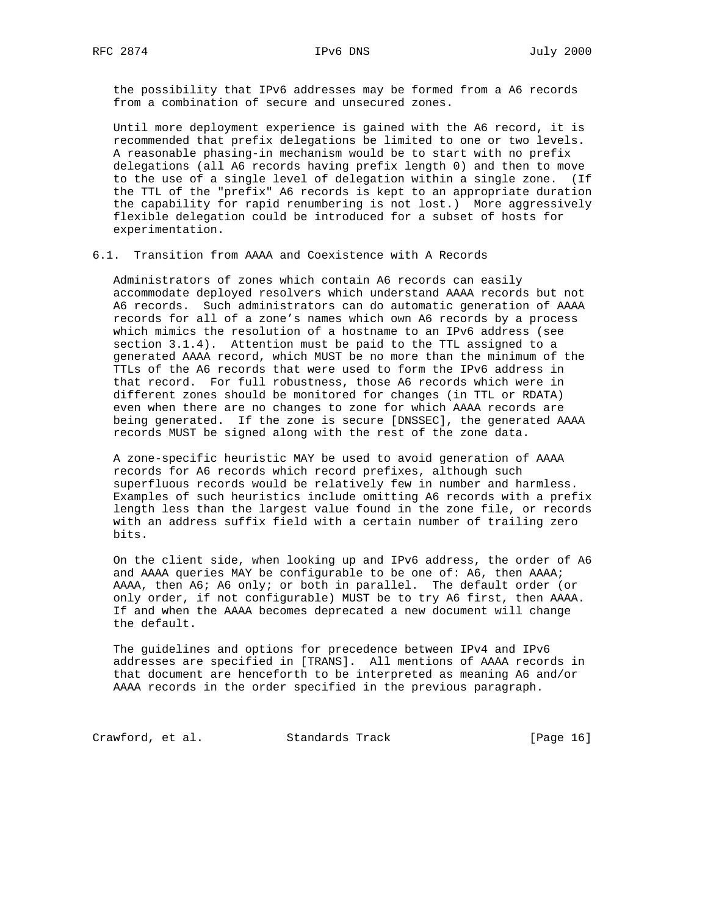the possibility that IPv6 addresses may be formed from a A6 records from a combination of secure and unsecured zones.

 Until more deployment experience is gained with the A6 record, it is recommended that prefix delegations be limited to one or two levels. A reasonable phasing-in mechanism would be to start with no prefix delegations (all A6 records having prefix length 0) and then to move to the use of a single level of delegation within a single zone. (If the TTL of the "prefix" A6 records is kept to an appropriate duration the capability for rapid renumbering is not lost.) More aggressively flexible delegation could be introduced for a subset of hosts for experimentation.

6.1. Transition from AAAA and Coexistence with A Records

 Administrators of zones which contain A6 records can easily accommodate deployed resolvers which understand AAAA records but not A6 records. Such administrators can do automatic generation of AAAA records for all of a zone's names which own A6 records by a process which mimics the resolution of a hostname to an IPv6 address (see section 3.1.4). Attention must be paid to the TTL assigned to a generated AAAA record, which MUST be no more than the minimum of the TTLs of the A6 records that were used to form the IPv6 address in that record. For full robustness, those A6 records which were in different zones should be monitored for changes (in TTL or RDATA) even when there are no changes to zone for which AAAA records are being generated. If the zone is secure [DNSSEC], the generated AAAA records MUST be signed along with the rest of the zone data.

 A zone-specific heuristic MAY be used to avoid generation of AAAA records for A6 records which record prefixes, although such superfluous records would be relatively few in number and harmless. Examples of such heuristics include omitting A6 records with a prefix length less than the largest value found in the zone file, or records with an address suffix field with a certain number of trailing zero bits.

 On the client side, when looking up and IPv6 address, the order of A6 and AAAA queries MAY be configurable to be one of: A6, then AAAA; AAAA, then A6; A6 only; or both in parallel. The default order (or only order, if not configurable) MUST be to try A6 first, then AAAA. If and when the AAAA becomes deprecated a new document will change the default.

 The guidelines and options for precedence between IPv4 and IPv6 addresses are specified in [TRANS]. All mentions of AAAA records in that document are henceforth to be interpreted as meaning A6 and/or AAAA records in the order specified in the previous paragraph.

Crawford, et al. Standards Track [Page 16]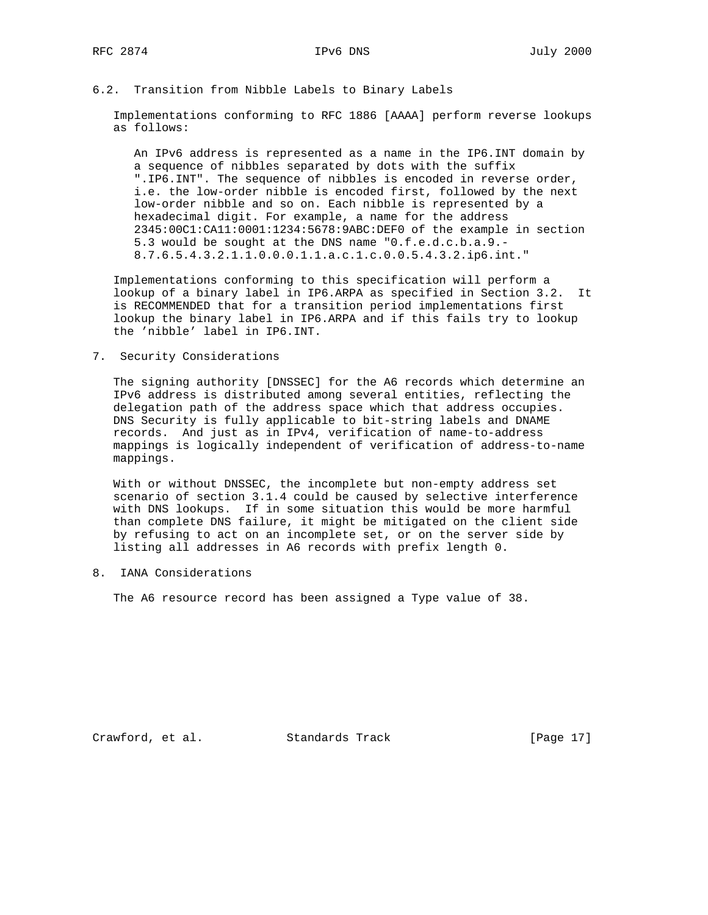## 6.2. Transition from Nibble Labels to Binary Labels

 Implementations conforming to RFC 1886 [AAAA] perform reverse lookups as follows:

 An IPv6 address is represented as a name in the IP6.INT domain by a sequence of nibbles separated by dots with the suffix ".IP6.INT". The sequence of nibbles is encoded in reverse order, i.e. the low-order nibble is encoded first, followed by the next low-order nibble and so on. Each nibble is represented by a hexadecimal digit. For example, a name for the address 2345:00C1:CA11:0001:1234:5678:9ABC:DEF0 of the example in section 5.3 would be sought at the DNS name "0.f.e.d.c.b.a.9.- 8.7.6.5.4.3.2.1.1.0.0.0.1.1.a.c.1.c.0.0.5.4.3.2.ip6.int."

 Implementations conforming to this specification will perform a lookup of a binary label in IP6.ARPA as specified in Section 3.2. It is RECOMMENDED that for a transition period implementations first lookup the binary label in IP6.ARPA and if this fails try to lookup the 'nibble' label in IP6.INT.

7. Security Considerations

 The signing authority [DNSSEC] for the A6 records which determine an IPv6 address is distributed among several entities, reflecting the delegation path of the address space which that address occupies. DNS Security is fully applicable to bit-string labels and DNAME records. And just as in IPv4, verification of name-to-address mappings is logically independent of verification of address-to-name mappings.

 With or without DNSSEC, the incomplete but non-empty address set scenario of section 3.1.4 could be caused by selective interference with DNS lookups. If in some situation this would be more harmful than complete DNS failure, it might be mitigated on the client side by refusing to act on an incomplete set, or on the server side by listing all addresses in A6 records with prefix length 0.

8. IANA Considerations

The A6 resource record has been assigned a Type value of 38.

Crawford, et al. Standards Track [Page 17]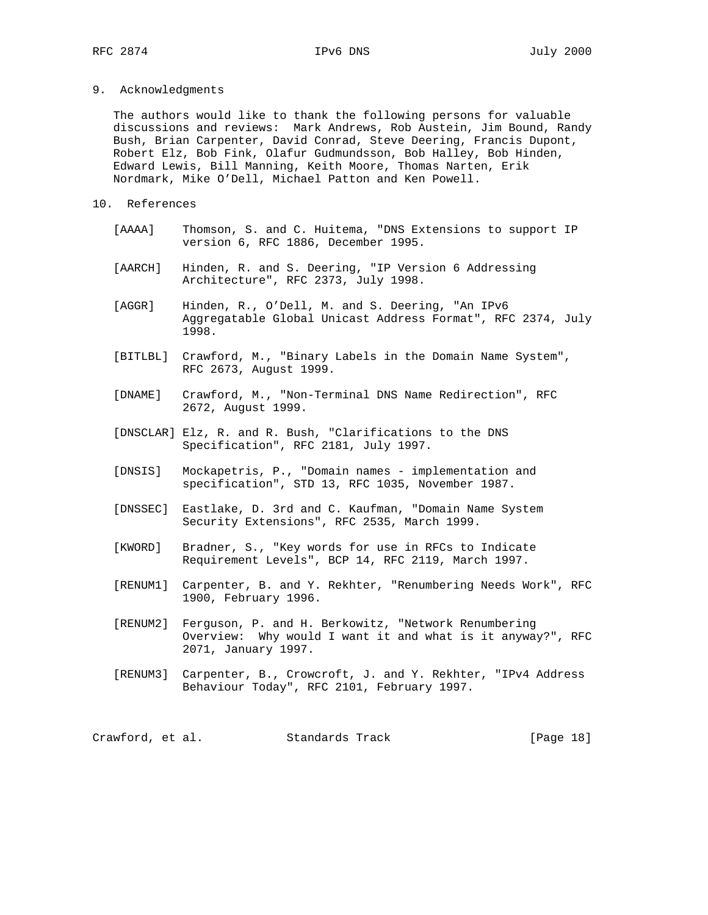9. Acknowledgments

 The authors would like to thank the following persons for valuable discussions and reviews: Mark Andrews, Rob Austein, Jim Bound, Randy Bush, Brian Carpenter, David Conrad, Steve Deering, Francis Dupont, Robert Elz, Bob Fink, Olafur Gudmundsson, Bob Halley, Bob Hinden, Edward Lewis, Bill Manning, Keith Moore, Thomas Narten, Erik Nordmark, Mike O'Dell, Michael Patton and Ken Powell.

- 10. References
	- [AAAA] Thomson, S. and C. Huitema, "DNS Extensions to support IP version 6, RFC 1886, December 1995.
	- [AARCH] Hinden, R. and S. Deering, "IP Version 6 Addressing Architecture", RFC 2373, July 1998.
	- [AGGR] Hinden, R., O'Dell, M. and S. Deering, "An IPv6 Aggregatable Global Unicast Address Format", RFC 2374, July 1998.
	- [BITLBL] Crawford, M., "Binary Labels in the Domain Name System", RFC 2673, August 1999.
	- [DNAME] Crawford, M., "Non-Terminal DNS Name Redirection", RFC 2672, August 1999.
	- [DNSCLAR] Elz, R. and R. Bush, "Clarifications to the DNS Specification", RFC 2181, July 1997.
	- [DNSIS] Mockapetris, P., "Domain names implementation and specification", STD 13, RFC 1035, November 1987.
	- [DNSSEC] Eastlake, D. 3rd and C. Kaufman, "Domain Name System Security Extensions", RFC 2535, March 1999.
	- [KWORD] Bradner, S., "Key words for use in RFCs to Indicate Requirement Levels", BCP 14, RFC 2119, March 1997.
	- [RENUM1] Carpenter, B. and Y. Rekhter, "Renumbering Needs Work", RFC 1900, February 1996.
	- [RENUM2] Ferguson, P. and H. Berkowitz, "Network Renumbering Overview: Why would I want it and what is it anyway?", RFC 2071, January 1997.
	- [RENUM3] Carpenter, B., Crowcroft, J. and Y. Rekhter, "IPv4 Address Behaviour Today", RFC 2101, February 1997.

Crawford, et al. Standards Track [Page 18]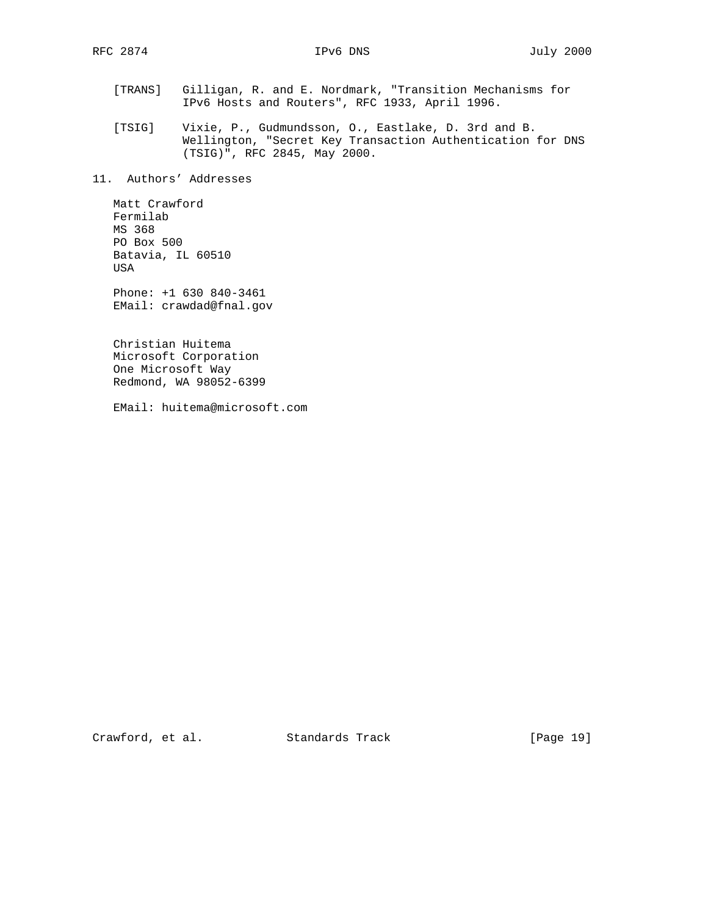- [TRANS] Gilligan, R. and E. Nordmark, "Transition Mechanisms for IPv6 Hosts and Routers", RFC 1933, April 1996.
- [TSIG] Vixie, P., Gudmundsson, O., Eastlake, D. 3rd and B. Wellington, "Secret Key Transaction Authentication for DNS (TSIG)", RFC 2845, May 2000.

11. Authors' Addresses

 Matt Crawford Fermilab MS 368 PO Box 500 Batavia, IL 60510 USA

 Phone: +1 630 840-3461 EMail: crawdad@fnal.gov

 Christian Huitema Microsoft Corporation One Microsoft Way Redmond, WA 98052-6399

EMail: huitema@microsoft.com

Crawford, et al. Standards Track [Page 19]